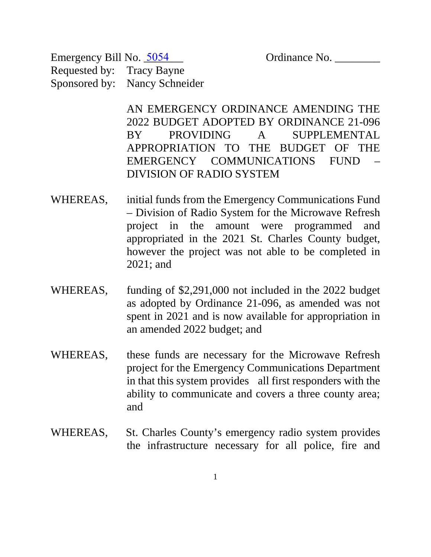Emergency Bill No. 5054 Crdinance No. Requested by: Tracy Bayne Sponsored by: Nancy Schneider

> AN EMERGENCY ORDINANCE AMENDING THE 2022 BUDGET ADOPTED BY ORDINANCE 21-096 BY PROVIDING A SUPPLEMENTAL APPROPRIATION TO THE BUDGET OF THE EMERGENCY COMMUNICATIONS FUND – DIVISION OF RADIO SYSTEM

- WHEREAS, initial funds from the Emergency Communications Fund – Division of Radio System for the Microwave Refresh project in the amount were programmed and appropriated in the 2021 St. Charles County budget, however the project was not able to be completed in 2021; and
- WHEREAS, funding of \$2,291,000 not included in the 2022 budget as adopted by Ordinance 21-096, as amended was not spent in 2021 and is now available for appropriation in an amended 2022 budget; and
- WHEREAS, these funds are necessary for the Microwave Refresh project for the Emergency Communications Department in that this system provides all first responders with the ability to communicate and covers a three county area; and
- WHEREAS, St. Charles County's emergency radio system provides the infrastructure necessary for all police, fire and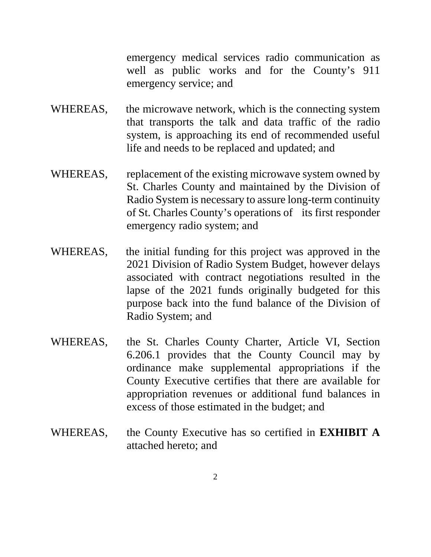emergency medical services radio communication as well as public works and for the County's 911 emergency service; and

- WHEREAS, the microwave network, which is the connecting system that transports the talk and data traffic of the radio system, is approaching its end of recommended useful life and needs to be replaced and updated; and
- WHEREAS, replacement of the existing microwave system owned by St. Charles County and maintained by the Division of Radio System is necessary to assure long-term continuity of St. Charles County's operations of its first responder emergency radio system; and
- WHEREAS, the initial funding for this project was approved in the 2021 Division of Radio System Budget, however delays associated with contract negotiations resulted in the lapse of the 2021 funds originally budgeted for this purpose back into the fund balance of the Division of Radio System; and
- WHEREAS, the St. Charles County Charter, Article VI, Section 6.206.1 provides that the County Council may by ordinance make supplemental appropriations if the County Executive certifies that there are available for appropriation revenues or additional fund balances in excess of those estimated in the budget; and
- WHEREAS, the County Executive has so certified in **EXHIBIT A** attached hereto; and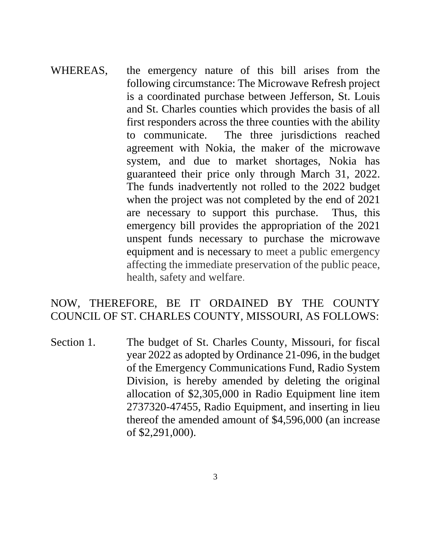WHEREAS, the emergency nature of this bill arises from the following circumstance: The Microwave Refresh project is a coordinated purchase between Jefferson, St. Louis and St. Charles counties which provides the basis of all first responders across the three counties with the ability to communicate. The three jurisdictions reached agreement with Nokia, the maker of the microwave system, and due to market shortages, Nokia has guaranteed their price only through March 31, 2022. The funds inadvertently not rolled to the 2022 budget when the project was not completed by the end of 2021 are necessary to support this purchase. Thus, this emergency bill provides the appropriation of the 2021 unspent funds necessary to purchase the microwave equipment and is necessary to meet a public emergency affecting the immediate preservation of the public peace, health, safety and welfare.

#### NOW, THEREFORE, BE IT ORDAINED BY THE COUNTY COUNCIL OF ST. CHARLES COUNTY, MISSOURI, AS FOLLOWS:

Section 1. The budget of St. Charles County, Missouri, for fiscal year 2022 as adopted by Ordinance 21-096, in the budget of the Emergency Communications Fund, Radio System Division, is hereby amended by deleting the original allocation of \$2,305,000 in Radio Equipment line item 2737320-47455, Radio Equipment, and inserting in lieu thereof the amended amount of \$4,596,000 (an increase of \$2,291,000).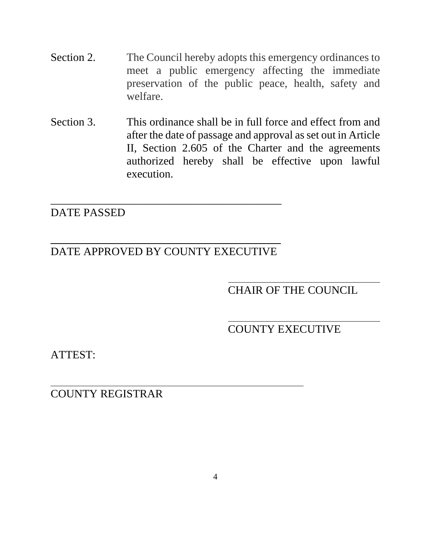- Section 2. The Council hereby adopts this emergency ordinances to meet a public emergency affecting the immediate preservation of the public peace, health, safety and welfare.
- Section 3. This ordinance shall be in full force and effect from and after the date of passage and approval as set out in Article II, Section 2.605 of the Charter and the agreements authorized hereby shall be effective upon lawful execution.

### DATE PASSED

## DATE APPROVED BY COUNTY EXECUTIVE

\_\_\_\_\_\_\_\_\_\_\_\_\_\_\_\_\_\_\_\_\_\_\_\_\_\_\_\_\_\_\_\_\_\_\_\_\_\_\_\_\_

### CHAIR OF THE COUNCIL

# COUNTY EXECUTIVE

ATTEST:

l

COUNTY REGISTRAR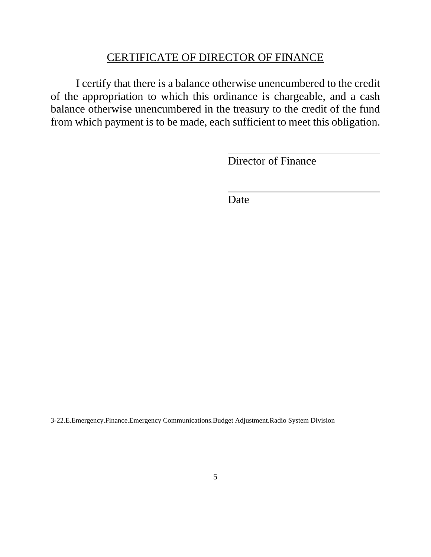#### CERTIFICATE OF DIRECTOR OF FINANCE

I certify that there is a balance otherwise unencumbered to the credit of the appropriation to which this ordinance is chargeable, and a cash balance otherwise unencumbered in the treasury to the credit of the fund from which payment is to be made, each sufficient to meet this obligation.

Director of Finance

Date

 $\overline{a}$ 

l

3-22.E.Emergency.Finance.Emergency Communications.Budget Adjustment.Radio System Division